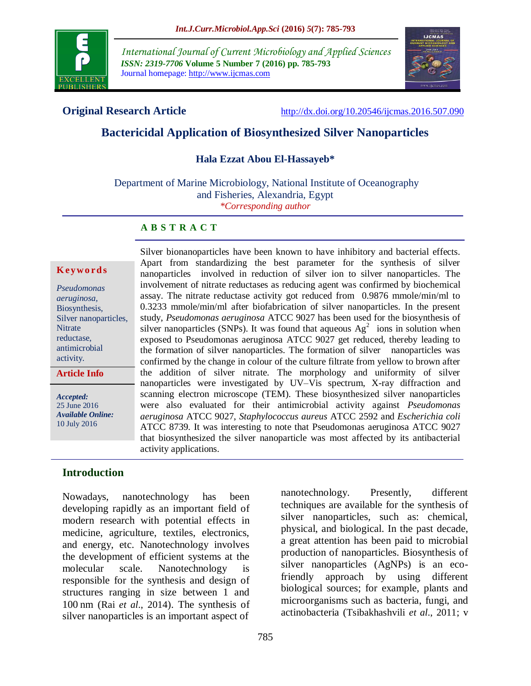

*International Journal of Current Microbiology and Applied Sciences ISSN: 2319-7706* **Volume 5 Number 7 (2016) pp. 785-793** Journal homepage: http://www.ijcmas.com



**Original Research Article** <http://dx.doi.org/10.20546/ijcmas.2016.507.090>

# **Bactericidal Application of Biosynthesized Silver Nanoparticles**

#### **Hala Ezzat Abou El-Hassayeb\***

Department of Marine Microbiology, National Institute of Oceanography and Fisheries, Alexandria, Egypt *\*Corresponding author*

#### **A B S T R A C T**

#### **K ey w o rd s**

| Pseudomonas           |
|-----------------------|
| aeruginosa,           |
| Biosynthesis,         |
| Silver nanoparticles, |
| <b>Nitrate</b>        |
| reductase,            |
| antimicrobial         |
| activity.             |
|                       |

**Article Info**

*Accepted:*  25 June 2016 *Available Online:* 10 July 2016

Apart from standardizing the best parameter for the synthesis of silver nanoparticles involved in reduction of silver ion to silver nanoparticles. The involvement of nitrate reductases as reducing agent was confirmed by biochemical assay. The nitrate reductase activity got reduced from 0.9876 mmole/min/ml to 0.3233 mmole/min/ml after biofabrication of silver nanoparticles. In the present study, *Pseudomonas aeruginosa* ATCC 9027 has been used for the biosynthesis of silver nanoparticles (SNPs). It was found that aqueous  $Ag<sup>2</sup>$  ions in solution when exposed to Pseudomonas aeruginosa ATCC 9027 get reduced, thereby leading to the formation of silver nanoparticles. The formation of silver nanoparticles was confirmed by the change in colour of the culture filtrate from yellow to brown after the addition of silver nitrate. The morphology and uniformity of silver nanoparticles were investigated by UV–Vis spectrum, X-ray diffraction and scanning electron microscope (TEM). These biosynthesized silver nanoparticles were also evaluated for their antimicrobial activity against *Pseudomonas aeruginosa* ATCC 9027, *Staphylococcus aureus* ATCC 2592 and *Escherichia coli* ATCC 8739. It was interesting to note that Pseudomonas aeruginosa ATCC 9027 that biosynthesized the silver nanoparticle was most affected by its antibacterial activity applications.

Silver bionanoparticles have been known to have inhibitory and bacterial effects.

### **Introduction**

Nowadays, nanotechnology has been developing rapidly as an important field of modern research with potential effects in medicine, agriculture, textiles, electronics, and energy, etc. Nanotechnology involves the development of efficient systems at the molecular scale. Nanotechnology is responsible for the synthesis and design of structures ranging in size between 1 and 100 nm (Rai *et al*., 2014). The synthesis of silver nanoparticles is an important aspect of

nanotechnology. Presently, different techniques are available for the synthesis of silver nanoparticles, such as: chemical, physical, and biological. In the past decade, a great attention has been paid to microbial production of nanoparticles. Biosynthesis of silver nanoparticles (AgNPs) is an ecofriendly approach by using different biological sources; for example, plants and microorganisms such as bacteria, fungi, and actinobacteria (Tsibakhashvili *et al*., 2011; v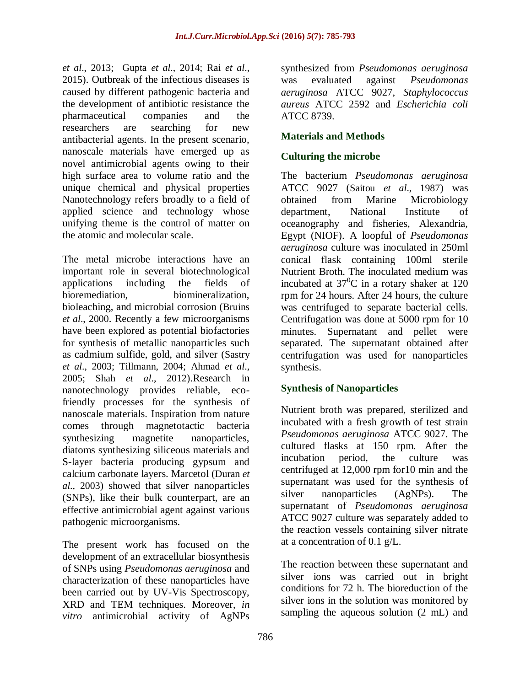*et al*., 2013; Gupta *et al*., 2014; Rai *et al*., 2015). Outbreak of the infectious diseases is caused by different pathogenic bacteria and the development of antibiotic resistance the pharmaceutical companies and the researchers are searching for new antibacterial agents. In the present scenario, nanoscale materials have emerged up as novel antimicrobial agents owing to their high surface area to volume ratio and the unique chemical and physical properties Nanotechnology refers broadly to a field of applied science and technology whose unifying theme is the control of matter on the atomic and molecular scale.

The metal microbe interactions have an important role in several biotechnological applications including the fields of bioremediation, biomineralization, bioleaching, and microbial corrosion (Bruins *et al*., 2000. Recently a few microorganisms have been explored as potential biofactories for synthesis of metallic nanoparticles such as cadmium sulfide, gold, and silver (Sastry *et al*., 2003; Tillmann, 2004; Ahmad *et al*., 2005; Shah *et al*., 2012).Research in nanotechnology provides reliable, ecofriendly processes for the synthesis of nanoscale materials. Inspiration from nature comes through magnetotactic bacteria synthesizing magnetite nanoparticles, diatoms synthesizing siliceous materials and S-layer bacteria producing gypsum and calcium carbonate layers. Marcetol (Duran *et al*., 2003) showed that silver nanoparticles (SNPs), like their bulk counterpart, are an effective antimicrobial agent against various pathogenic microorganisms.

The present work has focused on the development of an extracellular biosynthesis of SNPs using *Pseudomonas aeruginosa* and characterization of these nanoparticles have been carried out by UV-Vis Spectroscopy, XRD and TEM techniques. Moreover, *in vitro* antimicrobial activity of AgNPs

synthesized from *Pseudomonas aeruginosa*  was evaluated against *Pseudomonas aeruginosa* ATCC 9027, *Staphylococcus aureus* ATCC 2592 and *Escherichia coli* ATCC 8739.

# **Materials and Methods**

## **Culturing the microbe**

The bacterium *Pseudomonas aeruginosa*  ATCC 9027 (Saitou *et al*., 1987) was obtained from Marine Microbiology department, National Institute of oceanography and fisheries, Alexandria, Egypt (NIOF). A loopful of *Pseudomonas aeruginosa* culture was inoculated in 250ml conical flask containing 100ml sterile Nutrient Broth. The inoculated medium was incubated at  $37^0$ C in a rotary shaker at 120 rpm for 24 hours. After 24 hours, the culture was centrifuged to separate bacterial cells. Centrifugation was done at 5000 rpm for 10 minutes. Supernatant and pellet were separated. The supernatant obtained after centrifugation was used for nanoparticles synthesis.

# **Synthesis of Nanoparticles**

Nutrient broth was prepared, sterilized and incubated with a fresh growth of test strain *Pseudomonas aeruginosa* ATCC 9027. The cultured flasks at 150 rpm. After the incubation period, the culture was centrifuged at 12,000 rpm for10 min and the supernatant was used for the synthesis of silver nanoparticles (AgNPs). The supernatant of *Pseudomonas aeruginosa*  ATCC 9027 culture was separately added to the reaction vessels containing silver nitrate at a concentration of 0.1 g/L.

The reaction between these supernatant and silver ions was carried out in bright conditions for 72 h. The bioreduction of the silver ions in the solution was monitored by sampling the aqueous solution (2 mL) and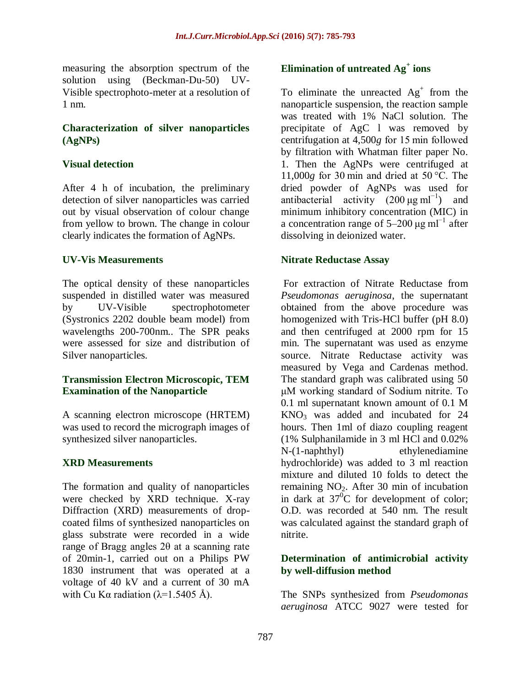measuring the absorption spectrum of the solution using (Beckman-Du-50) UV-Visible spectrophoto-meter at a resolution of 1 nm.

#### **Characterization of silver nanoparticles (AgNPs)**

## **Visual detection**

After 4 h of incubation, the preliminary detection of silver nanoparticles was carried out by visual observation of colour change from yellow to brown. The change in colour clearly indicates the formation of AgNPs.

## **UV-Vis Measurements**

The optical density of these nanoparticles suspended in distilled water was measured by UV-Visible spectrophotometer (Systronics 2202 double beam model) from wavelengths 200-700nm.. The SPR peaks were assessed for size and distribution of Silver nanoparticles.

## **Transmission Electron Microscopic, TEM Examination of the Nanoparticle**

A scanning electron microscope (HRTEM) was used to record the micrograph images of synthesized silver nanoparticles.

# **XRD Measurements**

The formation and quality of nanoparticles were checked by XRD technique. X-ray Diffraction (XRD) measurements of dropcoated films of synthesized nanoparticles on glass substrate were recorded in a wide range of Bragg angles 2θ at a scanning rate of 20min-1, carried out on a Philips PW 1830 instrument that was operated at a voltage of 40 kV and a current of 30 mA with Cu Kα radiation ( $\lambda$ =1.5405 Å).

# **Elimination of untreated Ag<sup>+</sup> ions**

To eliminate the unreacted  $Ag<sup>+</sup>$  from the nanoparticle suspension, the reaction sample was treated with 1% NaCl solution. The precipitate of AgC l was removed by centrifugation at 4,500*g* for 15 min followed by filtration with Whatman filter paper No. 1. Then the AgNPs were centrifuged at 11,000*g* for 30 min and dried at 50 °C. The dried powder of AgNPs was used for antibacterial activity  $(200 \mu g \text{ ml}^{-1})$  and minimum inhibitory concentration (MIC) in a concentration range of  $5-200 \mu g \text{ m}^{-1}$  after dissolving in deionized water.

## **Nitrate Reductase Assay**

For extraction of Nitrate Reductase from *Pseudomonas aeruginosa*, the supernatant obtained from the above procedure was homogenized with Tris-HCl buffer (pH 8.0) and then centrifuged at 2000 rpm for 15 min. The supernatant was used as enzyme source. Nitrate Reductase activity was measured by Vega and Cardenas method. The standard graph was calibrated using 50 μM working standard of Sodium nitrite. To 0.1 ml supernatant known amount of 0.1 M  $KNO<sub>3</sub>$  was added and incubated for 24 hours. Then 1ml of diazo coupling reagent (1% Sulphanilamide in 3 ml HCl and 0.02% N-(1-naphthyl) ethylenediamine hydrochloride) was added to 3 ml reaction mixture and diluted 10 folds to detect the remaining  $NO<sub>2</sub>$ . After 30 min of incubation in dark at  $37^{\circ}$ C for development of color; O.D. was recorded at 540 nm. The result was calculated against the standard graph of nitrite.

### **Determination of antimicrobial activity by well-diffusion method**

The SNPs synthesized from *Pseudomonas aeruginosa* ATCC 9027 were tested for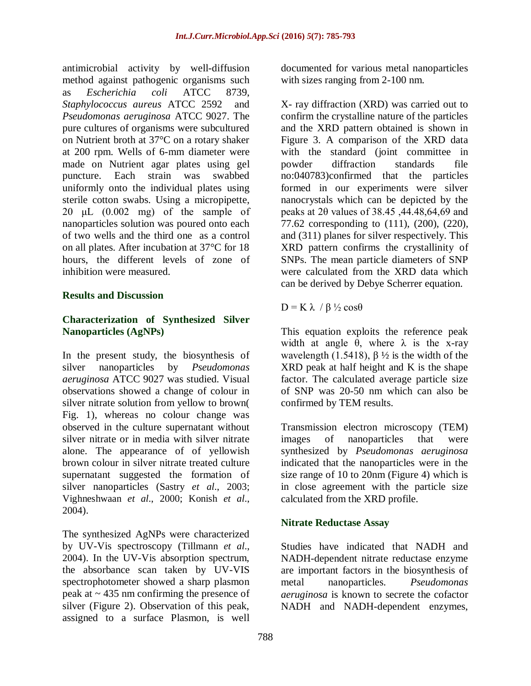antimicrobial activity by well-diffusion method against pathogenic organisms such as *Escherichia coli* ATCC 8739, *Staphylococcus aureus* ATCC 2592 and *Pseudomonas aeruginosa* ATCC 9027. The pure cultures of organisms were subcultured on Nutrient broth at 37°C on a rotary shaker at 200 rpm. Wells of 6-mm diameter were made on Nutrient agar plates using gel puncture. Each strain was swabbed uniformly onto the individual plates using sterile cotton swabs. Using a micropipette, 20  $\mu$ L (0.002 mg) of the sample of nanoparticles solution was poured onto each of two wells and the third one as a control on all plates. After incubation at 37°C for 18 hours, the different levels of zone of inhibition were measured.

#### **Results and Discussion**

## **Characterization of Synthesized Silver Nanoparticles (AgNPs)**

In the present study, the biosynthesis of silver nanoparticles by *Pseudomonas aeruginosa* ATCC 9027 was studied. Visual observations showed a change of colour in silver nitrate solution from yellow to brown( Fig. 1), whereas no colour change was observed in the culture supernatant without silver nitrate or in media with silver nitrate alone. The appearance of of yellowish brown colour in silver nitrate treated culture supernatant suggested the formation of silver nanoparticles (Sastry *et al*., 2003; Vighneshwaan *et al*., 2000; Konish *et al*., 2004).

The synthesized AgNPs were characterized by UV-Vis spectroscopy (Tillmann *et al*., 2004). In the UV-Vis absorption spectrum, the absorbance scan taken by UV-VIS spectrophotometer showed a sharp plasmon peak at  $\sim$  435 nm confirming the presence of silver (Figure 2). Observation of this peak, assigned to a surface Plasmon, is well

documented for various metal nanoparticles with sizes ranging from 2-100 nm.

X- ray diffraction (XRD) was carried out to confirm the crystalline nature of the particles and the XRD pattern obtained is shown in Figure 3. A comparison of the XRD data with the standard (joint committee in powder diffraction standards file no:040783)confirmed that the particles formed in our experiments were silver nanocrystals which can be depicted by the peaks at 2θ values of 38.45 ,44.48,64,69 and 77.62 corresponding to (111), (200), (220), and (311) planes for silver respectively. This XRD pattern confirms the crystallinity of SNPs. The mean particle diameters of SNP were calculated from the XRD data which can be derived by Debye Scherrer equation.

 $D = K \lambda / \beta / 2 \cos \theta$ 

This equation exploits the reference peak width at angle  $\theta$ , where  $\lambda$  is the x-ray wavelength (1.5418),  $\beta \frac{1}{2}$  is the width of the XRD peak at half height and K is the shape factor. The calculated average particle size of SNP was 20-50 nm which can also be confirmed by TEM results.

Transmission electron microscopy (TEM) images of nanoparticles that were synthesized by *Pseudomonas aeruginosa*  indicated that the nanoparticles were in the size range of 10 to 20nm (Figure 4) which is in close agreement with the particle size calculated from the XRD profile.

# **Nitrate Reductase Assay**

Studies have indicated that NADH and NADH-dependent nitrate reductase enzyme are important factors in the biosynthesis of metal nanoparticles. *Pseudomonas aeruginosa* is known to secrete the cofactor NADH and NADH-dependent enzymes,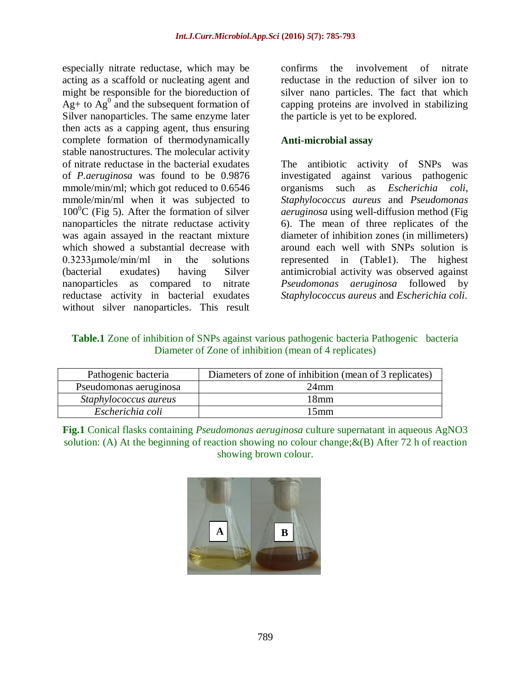especially nitrate reductase, which may be acting as a scaffold or nucleating agent and might be responsible for the bioreduction of  $Ag+$  to  $Ag^0$  and the subsequent formation of Silver nanoparticles. The same enzyme later then acts as a capping agent, thus ensuring complete formation of thermodynamically stable nanostructures. The molecular activity of nitrate reductase in the bacterial exudates of *P.aeruginosa* was found to be 0.9876 mmole/min/ml; which got reduced to 0.6546 mmole/min/ml when it was subjected to  $100^{\circ}$ C (Fig 5). After the formation of silver nanoparticles the nitrate reductase activity was again assayed in the reactant mixture which showed a substantial decrease with 0.3233μmole/min/ml in the solutions (bacterial exudates) having Silver nanoparticles as compared to nitrate reductase activity in bacterial exudates without silver nanoparticles. This result

confirms the involvement of nitrate reductase in the reduction of silver ion to silver nano particles. The fact that which capping proteins are involved in stabilizing the particle is yet to be explored.

### **Anti-microbial assay**

The antibiotic activity of SNPs was investigated against various pathogenic organisms such as *Escherichia coli*, *Staphylococcus aureus* and *Pseudomonas aeruginosa* using well-diffusion method (Fig 6). The mean of three replicates of the diameter of inhibition zones (in millimeters) around each well with SNPs solution is represented in (Table1). The highest antimicrobial activity was observed against *Pseudomonas aeruginosa* followed by *Staphylococcus aureus* and *Escherichia coli*.

**Table.1** Zone of inhibition of SNPs against various pathogenic bacteria Pathogenic bacteria Diameter of Zone of inhibition (mean of 4 replicates)

| Pathogenic bacteria    | Diameters of zone of inhibition (mean of 3 replicates) |
|------------------------|--------------------------------------------------------|
| Pseudomonas aeruginosa | 24 <sub>mm</sub>                                       |
| Staphylococcus aureus  | 18mm                                                   |
| Escherichia coli       | l 5mm                                                  |

**Fig.1** Conical flasks containing *Pseudomonas aeruginosa* culture supernatant in aqueous AgNO3 solution: (A) At the beginning of reaction showing no colour change;  $\&(B)$  After 72 h of reaction showing brown colour.

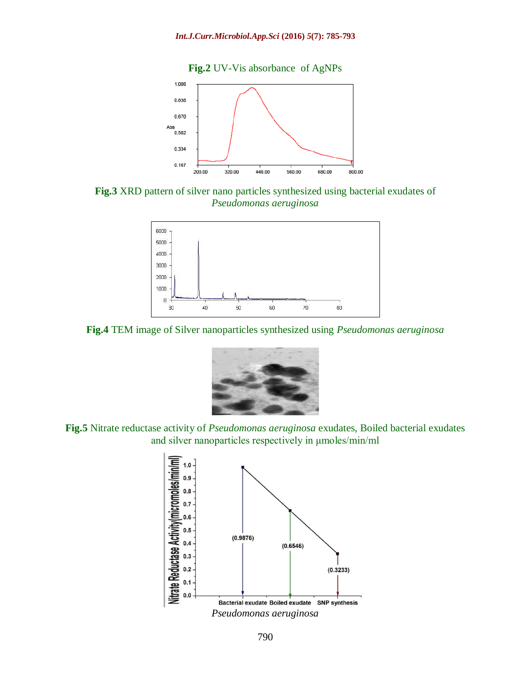

**Fig.3** XRD pattern of silver nano particles synthesized using bacterial exudates of *Pseudomonas aeruginosa*



**Fig.4** TEM image of Silver nanoparticles synthesized using *Pseudomonas aeruginosa*



**Fig.5** Nitrate reductase activity of *Pseudomonas aeruginosa* exudates, Boiled bacterial exudates and silver nanoparticles respectively in μmoles/min/ml

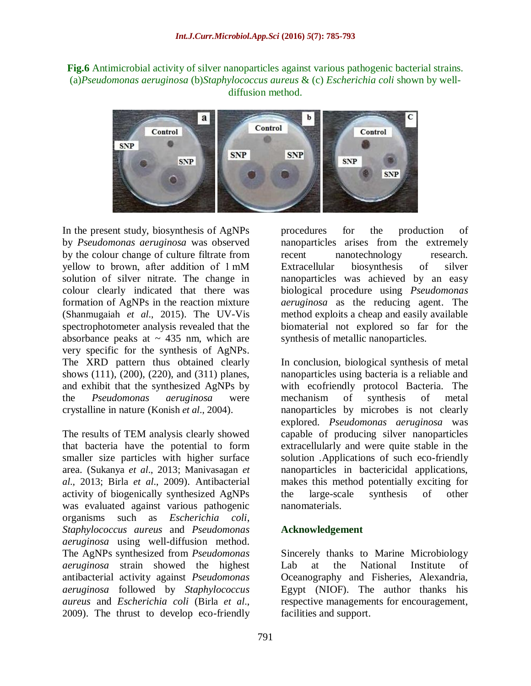**Fig.6** Antimicrobial activity of silver nanoparticles against various pathogenic bacterial strains. (a)*Pseudomonas aeruginosa* (b)*Staphylococcus aureus* & (c) *Escherichia coli* shown by welldiffusion method.



In the present study, biosynthesis of AgNPs by *Pseudomonas aeruginosa* was observed by the colour change of culture filtrate from yellow to brown, after addition of 1 mM solution of silver nitrate. The change in colour clearly indicated that there was formation of AgNPs in the reaction mixture (Shanmugaiah *et al*., 2015). The UV-Vis spectrophotometer analysis revealed that the absorbance peaks at  $\sim$  435 nm, which are very specific for the synthesis of AgNPs. The XRD pattern thus obtained clearly shows (111), (200), (220), and (311) planes, and exhibit that the synthesized AgNPs by the *Pseudomonas aeruginosa* were crystalline in nature (Konish *et al*., 2004).

The results of TEM analysis clearly showed that bacteria have the potential to form smaller size particles with higher surface area. (Sukanya *et al*., 2013; Manivasagan *et al*., 2013; Birla *et al*., 2009). Antibacterial activity of biogenically synthesized AgNPs was evaluated against various pathogenic organisms such as *Escherichia coli*, *Staphylococcus aureus* and *Pseudomonas aeruginosa* using well-diffusion method. The AgNPs synthesized from *Pseudomonas aeruginosa* strain showed the highest antibacterial activity against *Pseudomonas aeruginosa* followed by *Staphylococcus aureus* and *Escherichia coli* (Birla *et al*., 2009). The thrust to develop eco-friendly

procedures for the production of nanoparticles arises from the extremely recent nanotechnology research. Extracellular biosynthesis of silver nanoparticles was achieved by an easy biological procedure using *Pseudomonas aeruginosa* as the reducing agent. The method exploits a cheap and easily available biomaterial not explored so far for the synthesis of metallic nanoparticles.

In conclusion, biological synthesis of metal nanoparticles using bacteria is a reliable and with ecofriendly protocol Bacteria. The mechanism of synthesis of metal nanoparticles by microbes is not clearly explored. *Pseudomonas aeruginosa* was capable of producing silver nanoparticles extracellularly and were quite stable in the solution .Applications of such eco-friendly nanoparticles in bactericidal applications, makes this method potentially exciting for the large-scale synthesis of other nanomaterials.

### **Acknowledgement**

Sincerely thanks to Marine Microbiology Lab at the National Institute of Oceanography and Fisheries, Alexandria, Egypt (NIOF). The author thanks his respective managements for encouragement, facilities and support.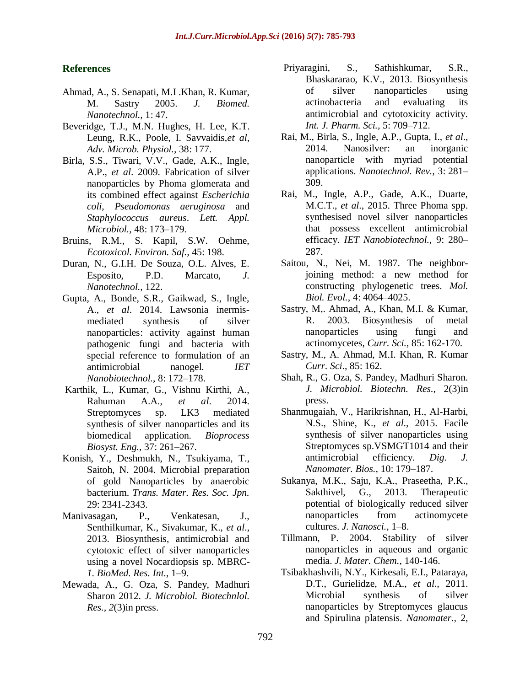#### **References**

- Ahmad, A., S. Senapati, M.I .Khan, R. Kumar, M. Sastry 2005. *J. Biomed. Nanotechnol.,* 1: 47.
- Beveridge, T.J., M.N. Hughes, H. Lee, K.T. Leung, R.K., Poole, I. Savvaidis,*et al*, *Adv. Microb. Physiol.,* 38: 177.
- Birla, S.S., Tiwari, V.V., Gade, A.K., Ingle, A.P., *et al*. 2009. Fabrication of silver nanoparticles by Phoma glomerata and its combined effect against *Escherichia coli*, *Pseudomonas aeruginosa* and *Staphylococcus aureus*. *Lett. Appl. Microbiol.,* 48: 173–179.
- Bruins, R.M., S. Kapil, S.W. Oehme, *Ecotoxicol. Environ. Saf.,* 45: 198.
- Duran, N., G.I.H. De Souza, O.L. Alves, E. Esposito, P.D. Marcato, *J. Nanotechnol.,* 122.
- Gupta, A., Bonde, S.R., Gaikwad, S., Ingle, A., *et al*. 2014. Lawsonia inermismediated synthesis of silver nanoparticles: activity against human pathogenic fungi and bacteria with special reference to formulation of an antimicrobial nanogel. *IET Nanobiotechnol.*, 8: 172–178.
- Karthik, L., Kumar, G., Vishnu Kirthi, A., Rahuman A.A., *et al*. 2014. Streptomyces sp. LK3 mediated synthesis of silver nanoparticles and its biomedical application. *Bioprocess Biosyst. Eng.,* 37: 261–267.
- Konish, Y., Deshmukh, N., Tsukiyama, T., Saitoh, N. 2004. Microbial preparation of gold Nanoparticles by anaerobic bacterium. *Trans. Mater. Res. Soc. Jpn.*  29: 2341-2343.
- Manivasagan, P., Venkatesan, J., Senthilkumar, K., Sivakumar, K., *et al*., 2013. Biosynthesis, antimicrobial and cytotoxic effect of silver nanoparticles using a novel Nocardiopsis sp. MBRC-*1. BioMed. Res. Int.,* 1–9.
- Mewada, A., G. Oza, S. Pandey, Madhuri Sharon 2012. *J. Microbiol. Biotechnlol. Res., 2*(3)in press.
- Priyaragini, S., Sathishkumar, S.R., Bhaskararao, K.V., 2013. Biosynthesis of silver nanoparticles using actinobacteria and evaluating its antimicrobial and cytotoxicity activity. *Int. J. Pharm. Sci.,* 5: 709–712.
- Rai, M., Birla, S., Ingle, A.P., Gupta, I., *et al*., 2014. Nanosilver: an inorganic nanoparticle with myriad potential applications. *Nanotechnol. Rev.,* 3: 281– 309.
- Rai, M., Ingle, A.P., Gade, A.K., Duarte, M.C.T., *et al*., 2015. Three Phoma spp. synthesised novel silver nanoparticles that possess excellent antimicrobial efficacy. *IET Nanobiotechnol.,* 9: 280– 287.
- Saitou, N., Nei, M. 1987. The neighborjoining method: a new method for constructing phylogenetic trees. *Mol. Biol. Evol.,* 4: 4064–4025.
- Sastry, M,. Ahmad, A., Khan, M.I. & Kumar, R. 2003. Biosynthesis of metal nanoparticles using fungi and actinomycetes, *Curr. Sci.*, 85: 162-170.
- Sastry, M., A. Ahmad, M.I. Khan, R. Kumar *Curr. Sci*., 85: 162.
- Shah, R., G. Oza, S. Pandey, Madhuri Sharon. *J. Microbiol. Biotechn. Res.,* 2(3)in press.
- Shanmugaiah, V., Harikrishnan, H., Al-Harbi, N.S., Shine, K., *et al*., 2015. Facile synthesis of silver nanoparticles using Streptomyces sp.VSMGT1014 and their antimicrobial efficiency. *Dig. J. Nanomater. Bios.,* 10: 179–187.
- Sukanya, M.K., Saju, K.A., Praseetha, P.K., Sakthivel, G., 2013. Therapeutic potential of biologically reduced silver nanoparticles from actinomycete cultures. *J. Nanosci.,* 1–8.
- Tillmann, P. 2004. Stability of silver nanoparticles in aqueous and organic media. *J. Mater. Chem.,* 140-146.
- Tsibakhashvili, N.Y., Kirkesali, E.I., Pataraya, D.T., Gurielidze, M.A., *et al*., 2011. Microbial synthesis of silver nanoparticles by Streptomyces glaucus and Spirulina platensis. *Nanomater.,* 2,